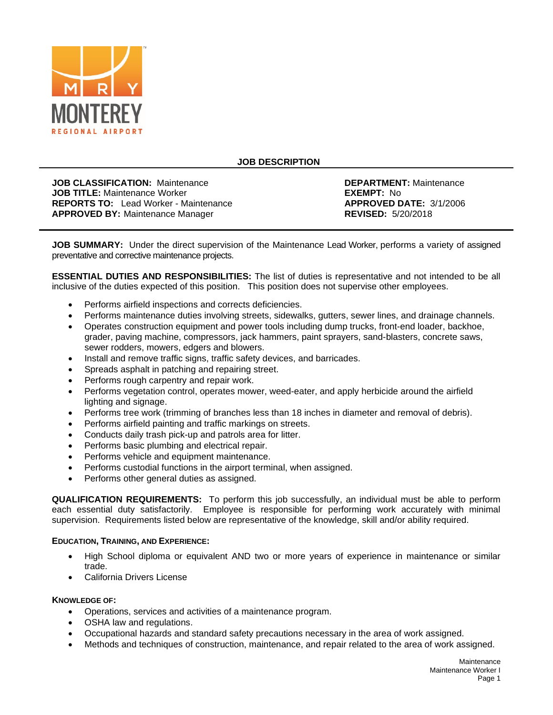

# **JOB DESCRIPTION**

**JOB CLASSIFICATION:** Maintenance **DEPARTMENT:** Maintenance **JOB TITLE:** Maintenance *JOB TITLE:* Maintenance Worker **DEPARTMENT:** No **JOB TITLE:** Maintenance Worker **EXEMPT: No EXEMPT: No EXEMPT: No EXEMPT: No EXEMPT: No EXEMPT: 3/1/2006 REPORTS TO:** Lead Worker - Maintenance **APPROVED DATE: 3**<br> **APPROVED BY:** Maintenance Manager **APPROVED: 5/20/2018 APPROVED BY: Maintenance Manager** 

**JOB SUMMARY:** Under the direct supervision of the Maintenance Lead Worker, performs a variety of assigned preventative and corrective maintenance projects.

**ESSENTIAL DUTIES AND RESPONSIBILITIES:** The list of duties is representative and not intended to be all inclusive of the duties expected of this position. This position does not supervise other employees.

- Performs airfield inspections and corrects deficiencies.
- Performs maintenance duties involving streets, sidewalks, gutters, sewer lines, and drainage channels.
- Operates construction equipment and power tools including dump trucks, front-end loader, backhoe, grader, paving machine, compressors, jack hammers, paint sprayers, sand-blasters, concrete saws, sewer rodders, mowers, edgers and blowers.
- Install and remove traffic signs, traffic safety devices, and barricades.
- Spreads asphalt in patching and repairing street.
- Performs rough carpentry and repair work.
- Performs vegetation control, operates mower, weed-eater, and apply herbicide around the airfield lighting and signage.
- Performs tree work (trimming of branches less than 18 inches in diameter and removal of debris).
- Performs airfield painting and traffic markings on streets.
- Conducts daily trash pick-up and patrols area for litter.
- Performs basic plumbing and electrical repair.
- Performs vehicle and equipment maintenance.
- Performs custodial functions in the airport terminal, when assigned.
- Performs other general duties as assigned.

**QUALIFICATION REQUIREMENTS:** To perform this job successfully, an individual must be able to perform each essential duty satisfactorily. Employee is responsible for performing work accurately with minimal supervision. Requirements listed below are representative of the knowledge, skill and/or ability required.

#### **EDUCATION, TRAINING, AND EXPERIENCE:**

- High School diploma or equivalent AND two or more years of experience in maintenance or similar trade.
- California Drivers License

#### **KNOWLEDGE OF:**

- Operations, services and activities of a maintenance program.
- OSHA law and regulations.
- Occupational hazards and standard safety precautions necessary in the area of work assigned.
- Methods and techniques of construction, maintenance, and repair related to the area of work assigned.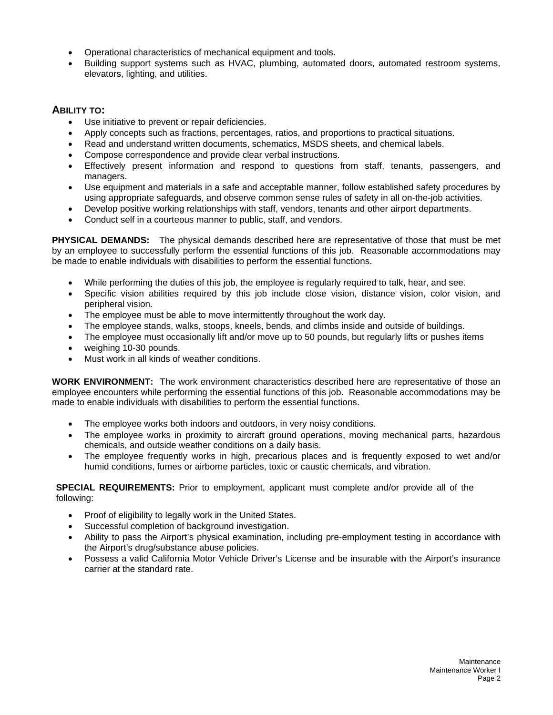- Operational characteristics of mechanical equipment and tools.
- Building support systems such as HVAC, plumbing, automated doors, automated restroom systems, elevators, lighting, and utilities.

### **ABILITY TO:**

- Use initiative to prevent or repair deficiencies.
- Apply concepts such as fractions, percentages, ratios, and proportions to practical situations.
- Read and understand written documents, schematics, MSDS sheets, and chemical labels.
- Compose correspondence and provide clear verbal instructions.
- Effectively present information and respond to questions from staff, tenants, passengers, and managers.
- Use equipment and materials in a safe and acceptable manner, follow established safety procedures by using appropriate safeguards, and observe common sense rules of safety in all on-the-job activities.
- Develop positive working relationships with staff, vendors, tenants and other airport departments.
- Conduct self in a courteous manner to public, staff, and vendors.

**PHYSICAL DEMANDS:** The physical demands described here are representative of those that must be met by an employee to successfully perform the essential functions of this job. Reasonable accommodations may be made to enable individuals with disabilities to perform the essential functions.

- While performing the duties of this job, the employee is regularly required to talk, hear, and see.
- Specific vision abilities required by this job include close vision, distance vision, color vision, and peripheral vision.
- The employee must be able to move intermittently throughout the work day.
- The employee stands, walks, stoops, kneels, bends, and climbs inside and outside of buildings.
- The employee must occasionally lift and/or move up to 50 pounds, but regularly lifts or pushes items
- weighing 10-30 pounds.
- Must work in all kinds of weather conditions.

**WORK ENVIRONMENT:** The work environment characteristics described here are representative of those an employee encounters while performing the essential functions of this job. Reasonable accommodations may be made to enable individuals with disabilities to perform the essential functions.

- The employee works both indoors and outdoors, in very noisy conditions.
- The employee works in proximity to aircraft ground operations, moving mechanical parts, hazardous chemicals, and outside weather conditions on a daily basis.
- The employee frequently works in high, precarious places and is frequently exposed to wet and/or humid conditions, fumes or airborne particles, toxic or caustic chemicals, and vibration.

**SPECIAL REQUIREMENTS:** Prior to employment, applicant must complete and/or provide all of the following:

- Proof of eligibility to legally work in the United States.
- Successful completion of background investigation.
- Ability to pass the Airport's physical examination, including pre-employment testing in accordance with the Airport's drug/substance abuse policies.
- Possess a valid California Motor Vehicle Driver's License and be insurable with the Airport's insurance carrier at the standard rate.